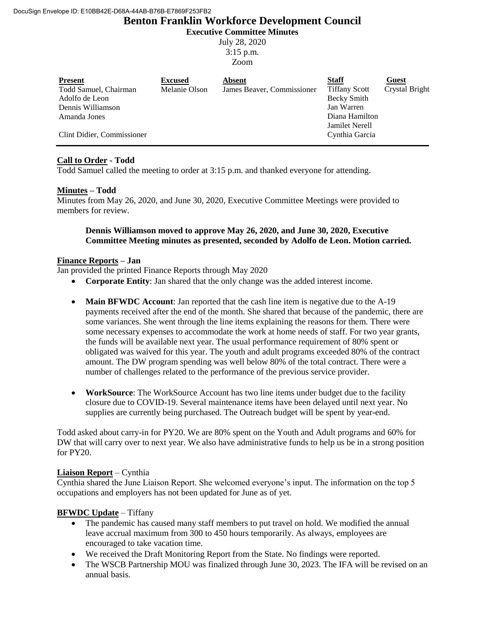# **Benton Franklin Workforce Development Council Executive Committee Minutes**

July 28, 2020 3:15 p.m.

Zoom

| <b>Present</b>             | <b>Excused</b> | Absent                     | <b>Staff</b>          | Guest          |
|----------------------------|----------------|----------------------------|-----------------------|----------------|
| Todd Samuel, Chairman      | Melanie Olson  | James Beaver, Commissioner | <b>Tiffany Scott</b>  | Crystal Bright |
| Adolfo de Leon             |                |                            | <b>Becky Smith</b>    |                |
| Dennis Williamson          |                |                            | Jan Warren            |                |
| Amanda Jones               |                |                            | Diana Hamilton        |                |
|                            |                |                            | <b>Jamilet Nerell</b> |                |
| Clint Didier, Commissioner |                |                            | Cynthia Garcia        |                |

# **Call to Order - Todd**

Todd Samuel called the meeting to order at 3:15 p.m. and thanked everyone for attending.

# **Minutes – Todd**

Minutes from May 26, 2020, and June 30, 2020, Executive Committee Meetings were provided to members for review.

#### **Dennis Williamson moved to approve May 26, 2020, and June 30, 2020, Executive Committee Meeting minutes as presented, seconded by Adolfo de Leon. Motion carried.**

#### **Finance Reports – Jan**

Jan provided the printed Finance Reports through May 2020

- **Corporate Entity**: Jan shared that the only change was the added interest income.
- Main BFWDC Account: Jan reported that the cash line item is negative due to the A-19 payments received after the end of the month. She shared that because of the pandemic, there are some variances. She went through the line items explaining the reasons for them. There were some necessary expenses to accommodate the work at home needs of staff. For two year grants, the funds will be available next year. The usual performance requirement of 80% spent or obligated was waived for this year. The youth and adult programs exceeded 80% of the contract amount. The DW program spending was well below 80% of the total contract. There were a number of challenges related to the performance of the previous service provider.
- **WorkSource**: The WorkSource Account has two line items under budget due to the facility closure due to COVID-19. Several maintenance items have been delayed until next year. No supplies are currently being purchased. The Outreach budget will be spent by year-end.

Todd asked about carry-in for PY20. We are 80% spent on the Youth and Adult programs and 60% for DW that will carry over to next year. We also have administrative funds to help us be in a strong position for PY20.

# **Liaison Report** – Cynthia

Cynthia shared the June Liaison Report. She welcomed everyone's input. The information on the top 5 occupations and employers has not been updated for June as of yet.

# **BFWDC Update** – Tiffany

- The pandemic has caused many staff members to put travel on hold. We modified the annual leave accrual maximum from 300 to 450 hours temporarily. As always, employees are encouraged to take vacation time.
- We received the Draft Monitoring Report from the State. No findings were reported.
- The WSCB Partnership MOU was finalized through June 30, 2023. The IFA will be revised on an annual basis.